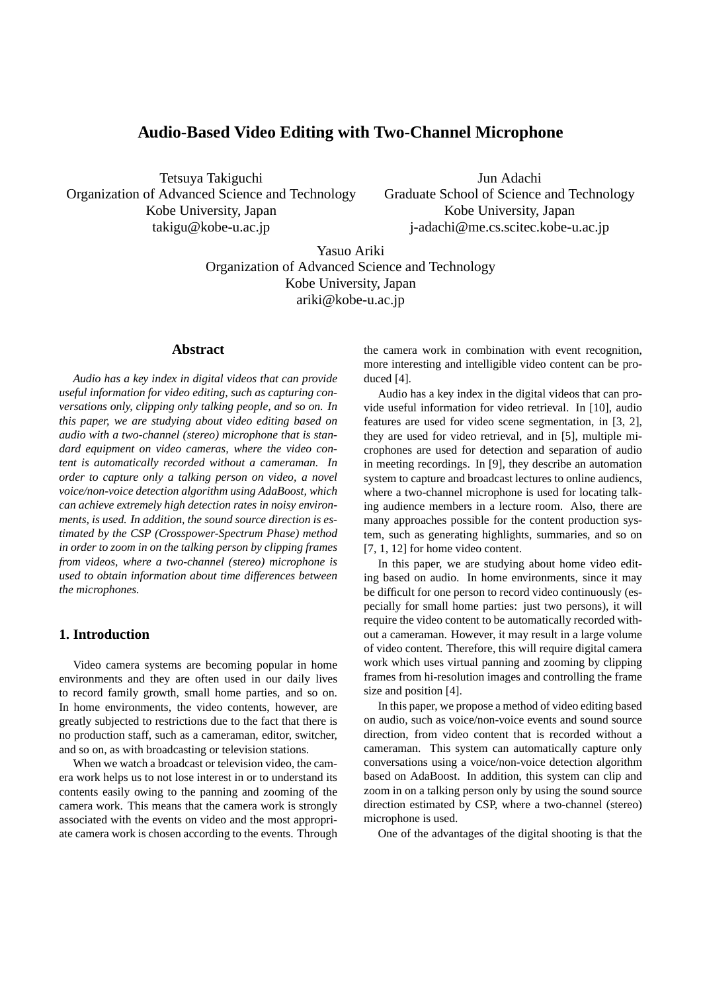# **Audio-Based Video Editing with Two-Channel Microphone**

Tetsuya Takiguchi Organization of Advanced Science and Technology Kobe University, Japan takigu@kobe-u.ac.jp

Jun Adachi Graduate School of Science and Technology Kobe University, Japan j-adachi@me.cs.scitec.kobe-u.ac.jp

Yasuo Ariki Organization of Advanced Science and Technology Kobe University, Japan ariki@kobe-u.ac.jp

### **Abstract**

*Audio has a key index in digital videos that can provide useful information for video editing, such as capturing conversations only, clipping only talking people, and so on. In this paper, we are studying about video editing based on audio with a two-channel (stereo) microphone that is standard equipment on video cameras, where the video content is automatically recorded without a cameraman. In order to capture only a talking person on video, a novel voice/non-voice detection algorithm using AdaBoost, which can achieve extremely high detection rates in noisy environments, is used. In addition, the sound source direction is estimated by the CSP (Crosspower-Spectrum Phase) method in order to zoom in on the talking person by clipping frames from videos, where a two-channel (stereo) microphone is used to obtain information about time differences between the microphones.*

### **1. Introduction**

Video camera systems are becoming popular in home environments and they are often used in our daily lives to record family growth, small home parties, and so on. In home environments, the video contents, however, are greatly subjected to restrictions due to the fact that there is no production staff, such as a cameraman, editor, switcher, and so on, as with broadcasting or television stations.

When we watch a broadcast or television video, the camera work helps us to not lose interest in or to understand its contents easily owing to the panning and zooming of the camera work. This means that the camera work is strongly associated with the events on video and the most appropriate camera work is chosen according to the events. Through the camera work in combination with event recognition, more interesting and intelligible video content can be produced [4].

Audio has a key index in the digital videos that can provide useful information for video retrieval. In [10], audio features are used for video scene segmentation, in [3, 2], they are used for video retrieval, and in [5], multiple microphones are used for detection and separation of audio in meeting recordings. In [9], they describe an automation system to capture and broadcast lectures to online audiencs, where a two-channel microphone is used for locating talking audience members in a lecture room. Also, there are many approaches possible for the content production system, such as generating highlights, summaries, and so on [7, 1, 12] for home video content.

In this paper, we are studying about home video editing based on audio. In home environments, since it may be difficult for one person to record video continuously (especially for small home parties: just two persons), it will require the video content to be automatically recorded without a cameraman. However, it may result in a large volume of video content. Therefore, this will require digital camera work which uses virtual panning and zooming by clipping frames from hi-resolution images and controlling the frame size and position [4].

In this paper, we propose a method of video editing based on audio, such as voice/non-voice events and sound source direction, from video content that is recorded without a cameraman. This system can automatically capture only conversations using a voice/non-voice detection algorithm based on AdaBoost. In addition, this system can clip and zoom in on a talking person only by using the sound source direction estimated by CSP, where a two-channel (stereo) microphone is used.

One of the advantages of the digital shooting is that the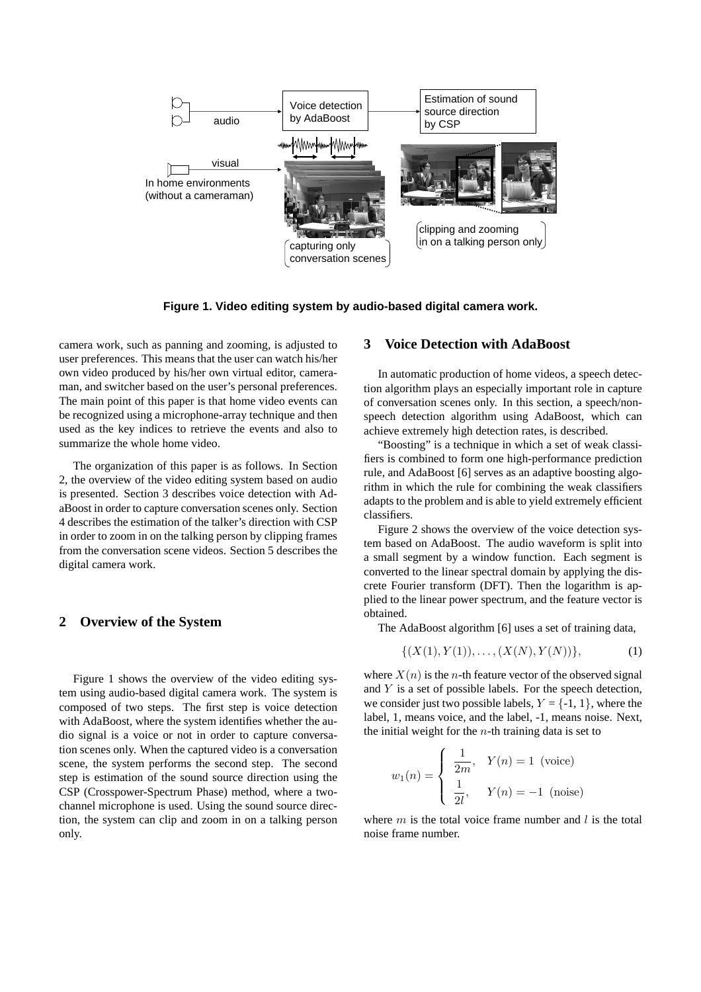

**Figure 1. Video editing system by audio-based digital camera work.**

camera work, such as panning and zooming, is adjusted to user preferences. This means that the user can watch his/her own video produced by his/her own virtual editor, cameraman, and switcher based on the user's personal preferences. The main point of this paper is that home video events can be recognized using a microphone-array technique and then used as the key indices to retrieve the events and also to summarize the whole home video.

The organization of this paper is as follows. In Section 2, the overview of the video editing system based on audio is presented. Section 3 describes voice detection with AdaBoost in order to capture conversation scenes only. Section 4 describes the estimation of the talker's direction with CSP in order to zoom in on the talking person by clipping frames from the conversation scene videos. Section 5 describes the digital camera work.

# **2 Overview of the System**

Figure 1 shows the overview of the video editing system using audio-based digital camera work. The system is composed of two steps. The first step is voice detection with AdaBoost, where the system identifies whether the audio signal is a voice or not in order to capture conversation scenes only. When the captured video is a conversation scene, the system performs the second step. The second step is estimation of the sound source direction using the CSP (Crosspower-Spectrum Phase) method, where a twochannel microphone is used. Using the sound source direction, the system can clip and zoom in on a talking person only.

# **3 Voice Detection with AdaBoost**

In automatic production of home videos, a speech detection algorithm plays an especially important role in capture of conversation scenes only. In this section, a speech/nonspeech detection algorithm using AdaBoost, which can achieve extremely high detection rates, is described.

"Boosting" is a technique in which a set of weak classifiers is combined to form one high-performance prediction rule, and AdaBoost [6] serves as an adaptive boosting algorithm in which the rule for combining the weak classifiers adapts to the problem and is able to yield extremely efficient classifiers.

Figure 2 shows the overview of the voice detection system based on AdaBoost. The audio waveform is split into a small segment by a window function. Each segment is converted to the linear spectral domain by applying the discrete Fourier transform (DFT). Then the logarithm is applied to the linear power spectrum, and the feature vector is obtained.

The AdaBoost algorithm [6] uses a set of training data,

$$
\{(X(1), Y(1)), \dots, (X(N), Y(N))\},\tag{1}
$$

where  $X(n)$  is the *n*-th feature vector of the observed signal and Y is a set of possible labels. For the speech detection, we consider just two possible labels,  $Y = \{-1, 1\}$ , where the label, 1, means voice, and the label, -1, means noise. Next, the initial weight for the  $n$ -th training data is set to

$$
w_1(n) = \begin{cases} \frac{1}{2m}, & Y(n) = 1 \text{ (voice)} \\ \frac{1}{2l}, & Y(n) = -1 \text{ (noise)} \end{cases}
$$

where  $m$  is the total voice frame number and l is the total noise frame number.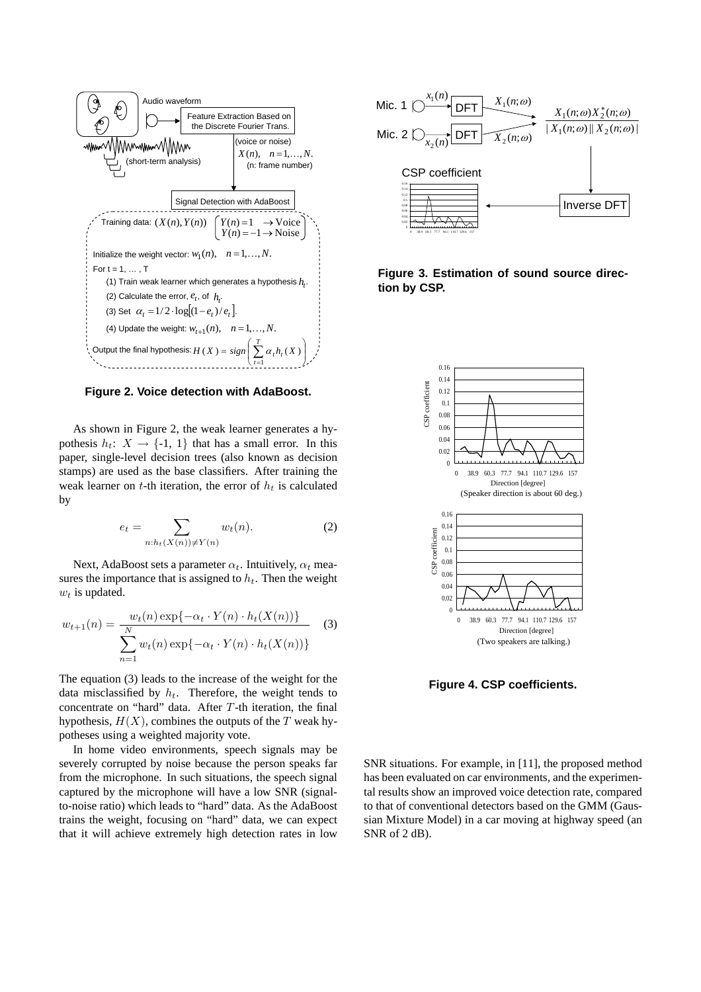

**Figure 2. Voice detection with AdaBoost.**

As shown in Figure 2, the weak learner generates a hypothesis  $h_t: X \to \{-1, 1\}$  that has a small error. In this paper, single-level decision trees (also known as decision stamps) are used as the base classifiers. After training the weak learner on t-th iteration, the error of  $h_t$  is calculated by

$$
e_t = \sum_{n:h_t(X(n)) \neq Y(n)} w_t(n). \tag{2}
$$

Next, AdaBoost sets a parameter  $\alpha_t$ . Intuitively,  $\alpha_t$  measures the importance that is assigned to  $h_t$ . Then the weight  $w_t$  is updated.

$$
w_{t+1}(n) = \frac{w_t(n) \exp\{-\alpha_t \cdot Y(n) \cdot h_t(X(n))\}}{\sum_{n=1}^N w_t(n) \exp\{-\alpha_t \cdot Y(n) \cdot h_t(X(n))\}}
$$
(3)

The equation (3) leads to the increase of the weight for the data misclassified by  $h_t$ . Therefore, the weight tends to concentrate on "hard" data. After  $T$ -th iteration, the final hypothesis,  $H(X)$ , combines the outputs of the T weak hypotheses using a weighted majority vote.

In home video environments, speech signals may be severely corrupted by noise because the person speaks far from the microphone. In such situations, the speech signal captured by the microphone will have a low SNR (signalto-noise ratio) which leads to "hard" data. As the AdaBoost trains the weight, focusing on "hard" data, we can expect that it will achieve extremely high detection rates in low



**Figure 3. Estimation of sound source direction by CSP.**



**Figure 4. CSP coefficients.**

SNR situations. For example, in [11], the proposed method has been evaluated on car environments, and the experimental results show an improved voice detection rate, compared to that of conventional detectors based on the GMM (Gaussian Mixture Model) in a car moving at highway speed (an SNR of 2 dB).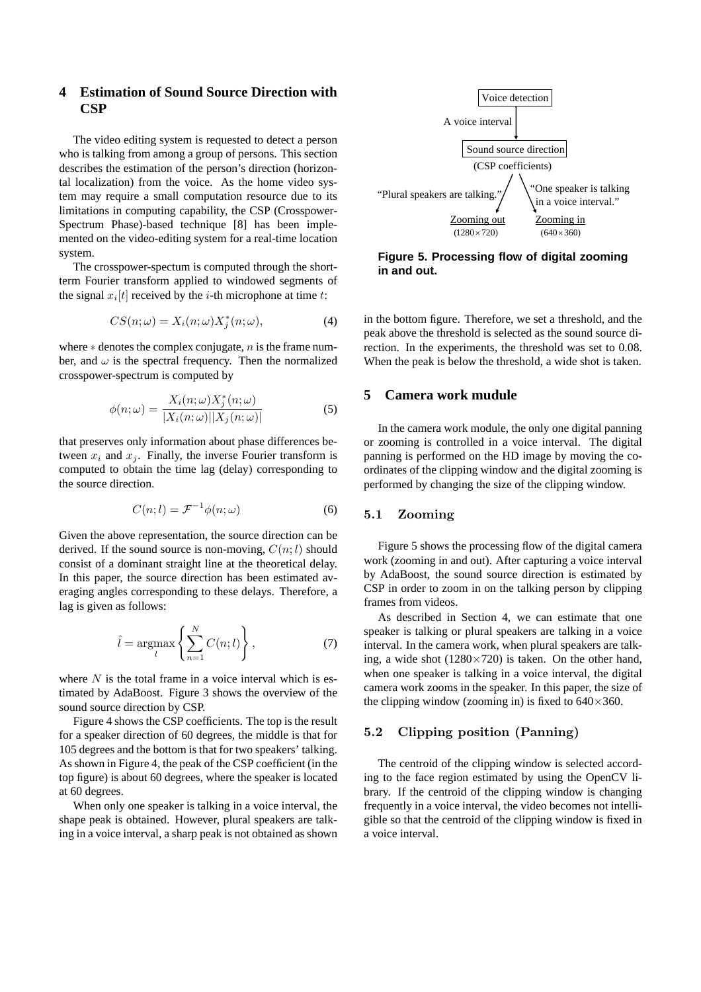# **4 Estimation of Sound Source Direction with CSP**

The video editing system is requested to detect a person who is talking from among a group of persons. This section describes the estimation of the person's direction (horizontal localization) from the voice. As the home video system may require a small computation resource due to its limitations in computing capability, the CSP (Crosspower-Spectrum Phase)-based technique [8] has been implemented on the video-editing system for a real-time location system.

The crosspower-spectum is computed through the shortterm Fourier transform applied to windowed segments of the signal  $x_i[t]$  received by the *i*-th microphone at time *t*:

$$
CS(n; \omega) = X_i(n; \omega) X_j^*(n; \omega), \tag{4}
$$

where  $*$  denotes the complex conjugate, n is the frame number, and  $\omega$  is the spectral frequency. Then the normalized crosspower-spectrum is computed by

$$
\phi(n; \omega) = \frac{X_i(n; \omega) X_j^*(n; \omega)}{|X_i(n; \omega)||X_j(n; \omega)|}
$$
\n(5)

that preserves only information about phase differences between  $x_i$  and  $x_j$ . Finally, the inverse Fourier transform is computed to obtain the time lag (delay) corresponding to the source direction.

$$
C(n;l) = \mathcal{F}^{-1}\phi(n;\omega)
$$
 (6)

Given the above representation, the source direction can be derived. If the sound source is non-moving,  $C(n; l)$  should consist of a dominant straight line at the theoretical delay. In this paper, the source direction has been estimated averaging angles corresponding to these delays. Therefore, a lag is given as follows:

$$
\hat{l} = \underset{l}{\operatorname{argmax}} \left\{ \sum_{n=1}^{N} C(n; l) \right\},\tag{7}
$$

where  $N$  is the total frame in a voice interval which is estimated by AdaBoost. Figure 3 shows the overview of the sound source direction by CSP.

Figure 4 shows the CSP coefficients. The top is the result for a speaker direction of 60 degrees, the middle is that for 105 degrees and the bottom is that for two speakers' talking. As shown in Figure 4, the peak of the CSP coefficient (in the top figure) is about 60 degrees, where the speaker is located at 60 degrees.

When only one speaker is talking in a voice interval, the shape peak is obtained. However, plural speakers are talking in a voice interval, a sharp peak is not obtained as shown



**Figure 5. Processing flow of digital zooming in and out.**

in the bottom figure. Therefore, we set a threshold, and the peak above the threshold is selected as the sound source direction. In the experiments, the threshold was set to 0.08. When the peak is below the threshold, a wide shot is taken.

## **5 Camera work mudule**

In the camera work module, the only one digital panning or zooming is controlled in a voice interval. The digital panning is performed on the HD image by moving the coordinates of the clipping window and the digital zooming is performed by changing the size of the clipping window.

#### 5.1 Zooming

Figure 5 shows the processing flow of the digital camera work (zooming in and out). After capturing a voice interval by AdaBoost, the sound source direction is estimated by CSP in order to zoom in on the talking person by clipping frames from videos.

As described in Section 4, we can estimate that one speaker is talking or plural speakers are talking in a voice interval. In the camera work, when plural speakers are talking, a wide shot  $(1280\times720)$  is taken. On the other hand, when one speaker is talking in a voice interval, the digital camera work zooms in the speaker. In this paper, the size of the clipping window (zooming in) is fixed to  $640 \times 360$ .

#### 5.2 Clipping position (Panning)

The centroid of the clipping window is selected according to the face region estimated by using the OpenCV library. If the centroid of the clipping window is changing frequently in a voice interval, the video becomes not intelligible so that the centroid of the clipping window is fixed in a voice interval.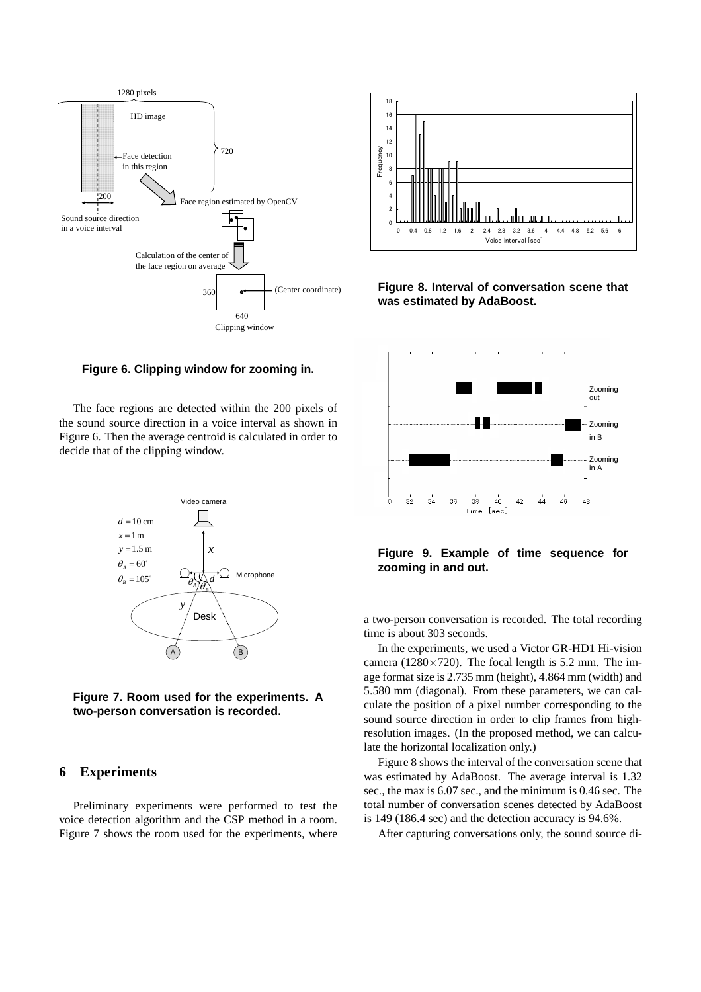



**Figure 8. Interval of conversation scene that was estimated by AdaBoost.**

#### **Figure 6. Clipping window for zooming in.**

The face regions are detected within the 200 pixels of the sound source direction in a voice interval as shown in Figure 6. Then the average centroid is calculated in order to decide that of the clipping window.



**Figure 7. Room used for the experiments. A two-person conversation is recorded.**

# **6 Experiments**

Preliminary experiments were performed to test the voice detection algorithm and the CSP method in a room. Figure 7 shows the room used for the experiments, where



**Figure 9. Example of time sequence for zooming in and out.**

a two-person conversation is recorded. The total recording time is about 303 seconds.

In the experiments, we used a Victor GR-HD1 Hi-vision camera ( $1280 \times 720$ ). The focal length is 5.2 mm. The image format size is 2.735 mm (height), 4.864 mm (width) and 5.580 mm (diagonal). From these parameters, we can calculate the position of a pixel number corresponding to the sound source direction in order to clip frames from highresolution images. (In the proposed method, we can calculate the horizontal localization only.)

Figure 8 shows the interval of the conversation scene that was estimated by AdaBoost. The average interval is 1.32 sec., the max is 6.07 sec., and the minimum is 0.46 sec. The total number of conversation scenes detected by AdaBoost is 149 (186.4 sec) and the detection accuracy is 94.6%.

After capturing conversations only, the sound source di-